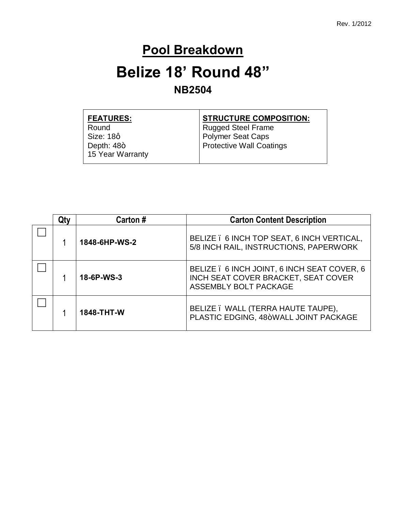#### **Pool Breakdown**

### **Belize 18' Round 48" NB2504**

| <b>FEATURES:</b> | <b>STRUCTURE COMPOSITION:</b> |  |
|------------------|-------------------------------|--|
| Round            | <b>Rugged Steel Frame</b>     |  |
| Size: 18q        | <b>Polymer Seat Caps</b>      |  |
| Depth: $48+$     | Protective Wall Coatings      |  |
| 15 Year Warranty |                               |  |

| Qtv | Carton #      | <b>Carton Content Description</b>                                                                           |
|-----|---------------|-------------------------------------------------------------------------------------------------------------|
|     | 1848-6HP-WS-2 | BELIZE . 6 INCH TOP SEAT, 6 INCH VERTICAL,<br>5/8 INCH RAIL, INSTRUCTIONS, PAPERWORK                        |
|     | 18-6P-WS-3    | BELIZE . 6 INCH JOINT, 6 INCH SEAT COVER, 6<br>INCH SEAT COVER BRACKET, SEAT COVER<br>ASSEMBLY BOLT PACKAGE |
|     | 1848-THT-W    | BELIZE . WALL (TERRA HAUTE TAUPE),<br>PLASTIC EDGING, 48+WALL JOINT PACKAGE                                 |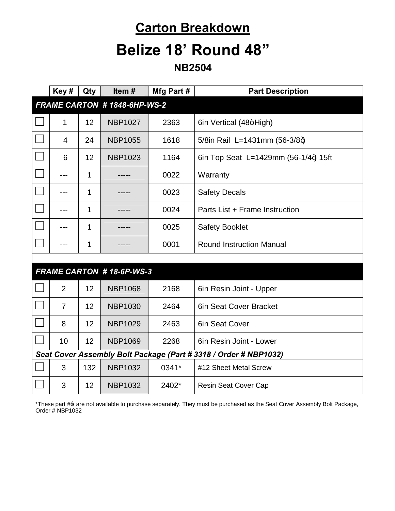# **Carton Breakdown Belize 18' Round 48"**

**NB2504**

|                                                                  | Key#                        | Qty | Item#                           | Mfg Part # | <b>Part Description</b>              |
|------------------------------------------------------------------|-----------------------------|-----|---------------------------------|------------|--------------------------------------|
|                                                                  | FRAME CARTON #1848-6HP-WS-2 |     |                                 |            |                                      |
|                                                                  | 1                           | 12  | <b>NBP1027</b>                  | 2363       | 6in Vertical (48+High)               |
|                                                                  | 4                           | 24  | <b>NBP1055</b>                  | 1618       | 5/8in Rail L=1431mm (56-3/8+)        |
|                                                                  | 6                           | 12  | <b>NBP1023</b>                  | 1164       | 6in Top Seat L=1429mm (56-1/4+) 15ft |
|                                                                  |                             | 1   |                                 | 0022       | Warranty                             |
|                                                                  |                             | 1   |                                 | 0023       | <b>Safety Decals</b>                 |
|                                                                  |                             | 1   |                                 | 0024       | Parts List + Frame Instruction       |
|                                                                  |                             | 1   |                                 | 0025       | <b>Safety Booklet</b>                |
|                                                                  | ---                         | 1   |                                 | 0001       | <b>Round Instruction Manual</b>      |
|                                                                  |                             |     |                                 |            |                                      |
|                                                                  |                             |     | <b>FRAME CARTON #18-6P-WS-3</b> |            |                                      |
|                                                                  | $\overline{2}$              | 12  | <b>NBP1068</b>                  | 2168       | 6in Resin Joint - Upper              |
|                                                                  | $\overline{7}$              | 12  | <b>NBP1030</b>                  | 2464       | 6in Seat Cover Bracket               |
|                                                                  | 8                           | 12  | <b>NBP1029</b>                  | 2463       | 6in Seat Cover                       |
|                                                                  | 10                          | 12  | <b>NBP1069</b>                  | 2268       | 6in Resin Joint - Lower              |
| Seat Cover Assembly Bolt Package (Part # 3318 / Order # NBP1032) |                             |     |                                 |            |                                      |
|                                                                  | 3                           | 132 | <b>NBP1032</b>                  | 0341*      | #12 Sheet Metal Screw                |
|                                                                  | 3                           | 12  | <b>NBP1032</b>                  | 2402*      | <b>Resin Seat Cover Cap</b>          |

\*These part # are not available to purchase separately. They must be purchased as the Seat Cover Assembly Bolt Package, Order # NBP1032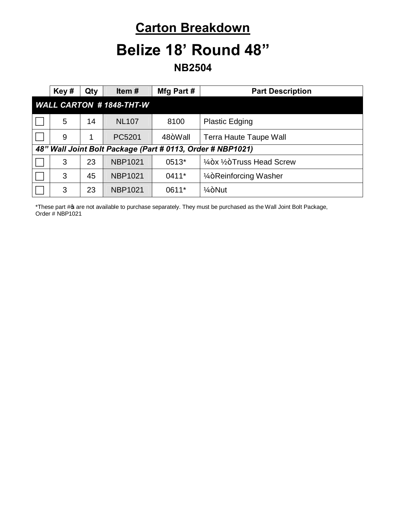## **Carton Breakdown Belize 18' Round 48"**

**NB2504**

|                                                            | Key# | Qty | Item#          | Mfg Part # | <b>Part Description</b>                          |
|------------------------------------------------------------|------|-----|----------------|------------|--------------------------------------------------|
| <b>WALL CARTON #1848-THT-W</b>                             |      |     |                |            |                                                  |
|                                                            | 5    | 14  | <b>NL107</b>   | 8100       | <b>Plastic Edging</b>                            |
|                                                            | 9    | 1   | PC5201         | 48+Wall    | <b>Terra Haute Taupe Wall</b>                    |
| 48" Wall Joint Bolt Package (Part # 0113, Order # NBP1021) |      |     |                |            |                                                  |
|                                                            | 3    | 23  | <b>NBP1021</b> | 0513*      | $\frac{1}{4}$ +x $\frac{1}{2}$ +Truss Head Screw |
|                                                            | 3    | 45  | <b>NBP1021</b> | 0411*      | 1/ <sub>4</sub> +Reinforcing Washer              |
|                                                            | 3    | 23  | <b>NBP1021</b> | 0611*      | $1/4 + N$ ut                                     |

\*These part # are not available to purchase separately. They must be purchased as the Wall Joint Bolt Package, Order # NBP1021